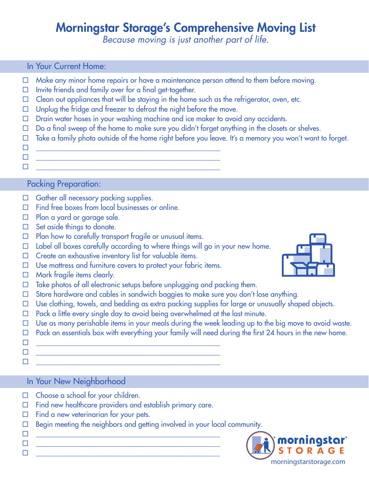# Morningstar Storage's Comprehensive Moving List

*Because moving is just another part of life.* 

#### In Your Current Home:

- $\Box$  Make any minor home repairs or have a maintenance person attend to them before moving.
- $\Box$  Invite friends and family over for a final get-together.
- $\Box$  Clean out appliances that will be staying in the home such as the refrigerator, oven, etc.
- $\Box$  Unplug the fridge and freezer to defrost the night before the move.

 $\Box$  , we can also a set of the set of the set of the set of the set of the set of the set of the set of the set of the set of the set of the set of the set of the set of the set of the set of the set of the set of the se

- D Drain water hoses in your washing machine and ice maker to avoid any accidents.
- $\Box$  Do a final sweep of the home to make sure you didn't forget anything in the closets or shelves.
- $\Box$  Take a family photo outside of the home right before you leave. It's a memory you won't want to forget.
- \_\_\_\_\_\_\_\_\_\_\_\_\_\_\_\_\_\_\_\_\_\_\_\_\_\_\_\_\_\_\_\_\_\_\_\_\_\_\_\_\_\_\_\_\_\_\_\_\_\_\_
- $\Box$  , we can also a set of the set of the set of the set of the set of the set of the set of the set of the set of the set of the set of the set of the set of the set of the set of the set of the set of the set of the se

## Packing Preparation:

- $\Box$  Gather all necessary packing supplies.
- $\Box$  Find free boxes from local businesses or online.
- □ Plan a yard or garage sale.
- $\Box$  Set aside things to donate.
- $\Box$  Plan how to carefully transport fragile or unusual items.
- $\Box$  Label all boxes carefully according to where things will go in your new home.
- $\Box$  Create an exhaustive inventory list for valuable items.
- $\Box$  Use mattress and furniture covers to protect your fabric items.
- $\Box$  Mark fragile items clearly.
- $\Box$  Take photos of all electronic setups before unplugging and packing them.
- Store hardware and cables in sandwich baggies to make sure you don't lose anything.
- $\Box$  Use clothing, towels, and bedding as extra packing supplies for large or unusually shaped objects.
- $\Box$  Pack a little every single day to avoid being overwhelmed at the last minute.
- $\Box$  Use as many perishable items in your meals during the week leading up to the big move to avoid waste.
- $\Box$  Pack an essentials box with everything your family will need during the first 24 hours in the new home.
- \_\_\_\_\_\_\_\_\_\_\_\_\_\_\_\_\_\_\_\_\_\_\_\_\_\_\_\_\_\_\_\_\_\_\_\_\_\_\_\_\_\_\_\_\_\_\_\_\_\_\_
- $\Box$  , we can also a set of the set of the set of the set of the set of the set of the set of the set of the set of the set of the set of the set of the set of the set of the set of the set of the set of the set of the se
- 

 $\Box$  , we can also a set of the set of the set of the set of the set of the set of the set of the set of the set of the set of the set of the set of the set of the set of the set of the set of the set of the set of the se

In Your New Neighborhood

- $\Box$  Choose a school for your children.
- $\Box$  Find new healthcare providers and establish primary care.

\_\_\_\_\_\_\_\_\_\_\_\_\_\_\_\_\_\_\_\_\_\_\_\_\_\_\_\_\_\_\_\_\_\_\_\_\_\_\_\_\_\_\_\_\_\_\_\_\_\_\_

- $\Box$  Find a new veterinarian for your pets.
- $\Box$  Begin meeting the neighbors and getting involved in your local community.
- $\Box$  , we can also a set of the set of the set of the set of the set of the set of the set of the set of the set of the set of the set of the set of the set of the set of the set of the set of the set of the set of the se \_\_\_\_\_\_\_\_\_\_\_\_\_\_\_\_\_\_\_\_\_\_\_\_\_\_\_\_\_\_\_\_\_\_\_\_\_\_\_\_\_\_\_\_\_\_\_\_\_\_\_



morningstarstorage.com